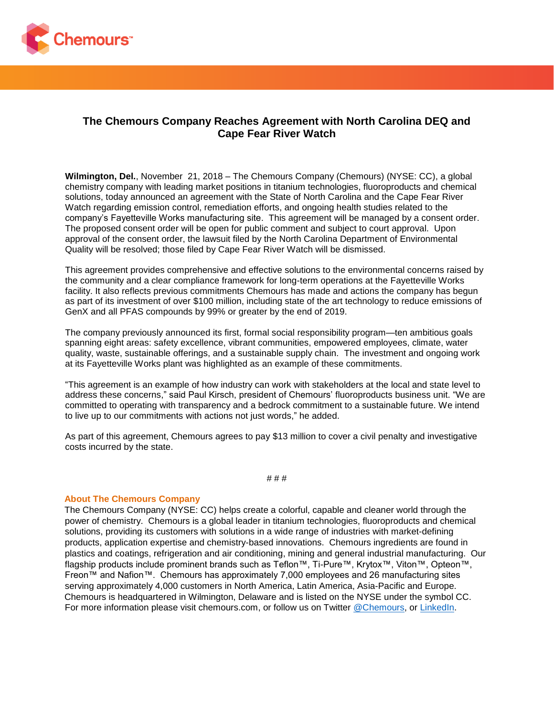

## **The Chemours Company Reaches Agreement with North Carolina DEQ and Cape Fear River Watch**

**Wilmington, Del.**, November 21, 2018 – The Chemours Company (Chemours) (NYSE: CC), a global chemistry company with leading market positions in titanium technologies, fluoroproducts and chemical solutions, today announced an agreement with the State of North Carolina and the Cape Fear River Watch regarding emission control, remediation efforts, and ongoing health studies related to the company's Fayetteville Works manufacturing site. This agreement will be managed by a consent order. The proposed consent order will be open for public comment and subject to court approval. Upon approval of the consent order, the lawsuit filed by the North Carolina Department of Environmental Quality will be resolved; those filed by Cape Fear River Watch will be dismissed.

This agreement provides comprehensive and effective solutions to the environmental concerns raised by the community and a clear compliance framework for long-term operations at the Fayetteville Works facility. It also reflects previous commitments Chemours has made and actions the company has begun as part of its investment of over \$100 million, including state of the art technology to reduce emissions of GenX and all PFAS compounds by 99% or greater by the end of 2019.

The company previously announced its first, formal social responsibility program—ten ambitious goals spanning eight areas: safety excellence, vibrant communities, empowered employees, climate, water quality, waste, sustainable offerings, and a sustainable supply chain. The investment and ongoing work at its Fayetteville Works plant was highlighted as an example of these commitments.

"This agreement is an example of how industry can work with stakeholders at the local and state level to address these concerns," said Paul Kirsch, president of Chemours' fluoroproducts business unit. "We are committed to operating with transparency and a bedrock commitment to a sustainable future. We intend to live up to our commitments with actions not just words," he added.

As part of this agreement, Chemours agrees to pay \$13 million to cover a civil penalty and investigative costs incurred by the state.

# # #

## **About The Chemours Company**

The Chemours Company (NYSE: CC) helps create a colorful, capable and cleaner world through the power of chemistry. Chemours is a global leader in titanium technologies, fluoroproducts and chemical solutions, providing its customers with solutions in a wide range of industries with market-defining products, application expertise and chemistry-based innovations. Chemours ingredients are found in plastics and coatings, refrigeration and air conditioning, mining and general industrial manufacturing. Our flagship products include prominent brands such as Teflon™, Ti-Pure™, Krytox™, Viton™, Opteon™, Freon™ and Nafion™. Chemours has approximately 7,000 employees and 26 manufacturing sites serving approximately 4,000 customers in North America, Latin America, Asia-Pacific and Europe. Chemours is headquartered in Wilmington, Delaware and is listed on the NYSE under the symbol CC. For more information please visit chemours.com, or follow us on Twitter [@Chemours,](https://twitter.com/chemours) or [LinkedIn.](https://www.linkedin.com/company/chemours/)